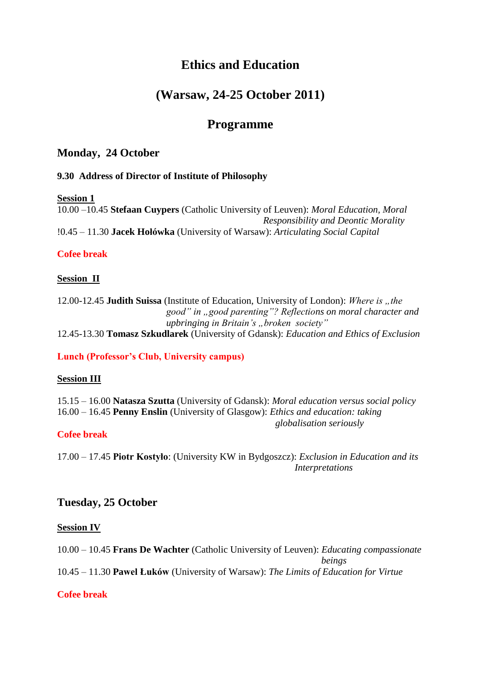# **Ethics and Education**

# **(Warsaw, 24-25 October 2011)**

# **Programme**

## **Monday, 24 October**

## **9.30 Address of Director of Institute of Philosophy**

**Session 1** 10.00 –10.45 **Stefaan Cuypers** (Catholic University of Leuven): *Moral Education, Moral Responsibility and Deontic Morality*  !0.45 – 11.30 **Jacek Hołówka** (University of Warsaw): *Articulating Social Capital*

## **Cofee break**

## **Session II**

12.00-12.45 **Judith Suissa** (Institute of Education, University of London): *Where is* , the  *good" in "good parenting"? Reflections on moral character and upbringing in Britain's*, *broken society*" 12.45-13.30 **Tomasz Szkudlarek** (University of Gdansk): *Education and Ethics of Exclusion*

## **Lunch (Professor's Club, University campus)**

### **Session III**

15.15 – 16.00 **Natasza Szutta** (University of Gdansk): *Moral education versus social policy* 16.00 – 16.45 **Penny Enslin** (University of Glasgow): *Ethics and education: taking globalisation seriously*

### **Cofee break**

17.00 – 17.45 **Piotr Kostyło**: (University KW in Bydgoszcz): *Exclusion in Education and its Interpretations*

## **Tuesday, 25 October**

**Session IV**

10.00 – 10.45 **Frans De Wachter** (Catholic University of Leuven): *Educating compassionate* 

 *beings* 10.45 – 11.30 **Pawel Łuków** (University of Warsaw): *The Limits of Education for Virtue*

### **Cofee break**